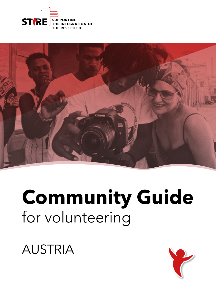



# **Community Guide** for volunteering

AUSTRIA

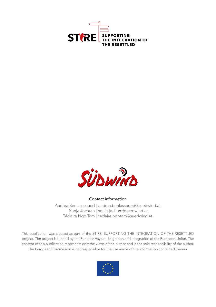



#### Contact information

Andrea Ben Lassoued | andrea.benlassoued@suedwind.at Sonja Jochum | sonja.jochum@suedwind.at Téclaire Ngo Tam | teclaire.ngotam@suedwind.at

This publication was created as part of the STIRE: SUPPORTING THE INTEGRATION OF THE RESETTLED project. The project is funded by the Fund for Asylum, Migration and Integration of the European Union. The content of this publication represents only the views of the author and is the sole responsibility of the author. The European Commission is not responsible for the use made of the information contained therein.

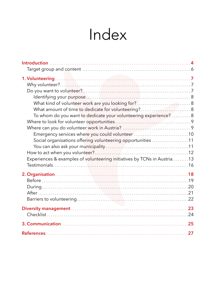# Index

| Identifying your purpose. With contact the control of the set of the set of the set of the set of the set of t |  |
|----------------------------------------------------------------------------------------------------------------|--|
| What kind of volunteer work are you looking for?  8                                                            |  |
|                                                                                                                |  |
| To whom do you want to dedicate your volunteering experience? 8                                                |  |
|                                                                                                                |  |
|                                                                                                                |  |
| Emergency services where you could volunteer10                                                                 |  |
| Social organisations offering volunteering opportunities 11                                                    |  |
|                                                                                                                |  |
|                                                                                                                |  |
| Experiences & examples of volunteering initiatives by TCNs in Austria13                                        |  |
|                                                                                                                |  |
|                                                                                                                |  |
|                                                                                                                |  |
|                                                                                                                |  |
|                                                                                                                |  |
|                                                                                                                |  |
|                                                                                                                |  |
|                                                                                                                |  |
|                                                                                                                |  |
|                                                                                                                |  |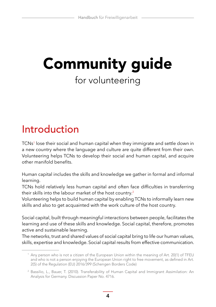# <span id="page-3-0"></span>Community guide for volunteering

### Introduction

TCNs<sup>1</sup> lose their social and human capital when they immigrate and settle down in a new country where the language and culture are quite different from their own. Volunteering helps TCNs to develop their social and human capital, and acquire other manifold benefits.

Human capital includes the skills and knowledge we gather in formal and informal learning.

TCNs hold relatively less human capital and often face difficulties in transferring their skills into the labour market of the host country. 2

Volunteering helps to build human capital by enabling TCNs to informally learn new skills and also to get acquainted with the work culture of the host country.

Social capital, built through meaningful interactions between people, facilitates the learning and use of these skills and knowledge. Social capital, therefore, promotes active and sustainable learning.

The networks, trust and shared values of social capital bring to life our human values, skills, expertise and knowledge. Social capital results from effective communication.

**4**

<sup>1</sup> Any person who is not a citizen of the European Union within the meaning of Art. 20(1) of TFEU and who is not a person enjoying the European Union right to free movement, as defined in Art. 2(5) of the Regulation (EU) 2016/399 (Schengen Borders Code)

<sup>2</sup> Bassilio, L., Bauer, T. (2010). Transferability of Human Capital and Immigrant Assimilation: An Analysis for Germany. Discussion Paper No. 4716.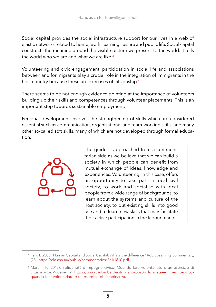Social capital provides the social infrastructure support for our lives in a web of elastic networks related to home, work, learning, leisure and public life. Social capital constructs the meaning around the visible picture we present to the world. It tells the world who we are and what we are like. 3

Volunteering and civic engagement, participation in social life and associations between and for migrants play a crucial role in the integration of immigrants in the host country because these are exercises of citizenship. 4

There seems to be not enough evidence pointing at the importance of volunteers building up their skills and competences through volunteer placements. This is an important step towards sustainable employment.

Personal development involves the strengthening of skills which are considered essential such as communication, organisational and team-working skills, and many other so-called soft skills, many of which are not developed through formal education.



The guide is approached from a communitarian side as we believe that we can build a society in which people can benefit from mutual exchange of ideas, knowledge and experiences. Volunteering, in this case, offers an opportunity to take part in local civil society, to work and socialise with local people from a wide range of backgrounds, to learn about the systems and culture of the host society, to put existing skills into good use and to learn new skills that may facilitate their active participation in the labour market.

<sup>&</sup>lt;sup>3</sup> Falk, I. (2000). Human Capital and Social Capital: What's the difference? Adult Learning Commentary, (28). https://ala.asn.au/public/commentaries/Falk1810.pdf

<sup>4</sup> Marelli, P. (2017). Solidarietà e impegno civico. Quando fare volontariato è un esercizio di cittadinanza. Vdossier, (2). [https://www.csvlombardia.it/milano/post/solidarieta-e-impegno-civico](https://www.csvlombardia.it/milano/post/solidarieta-e-impegno-civico-quando-fare-volontariato-e-un-esercizio-di-cittadinanza/)[quando-fare-volontariato-e-un-esercizio-di-cittadinanza/](https://www.csvlombardia.it/milano/post/solidarieta-e-impegno-civico-quando-fare-volontariato-e-un-esercizio-di-cittadinanza/)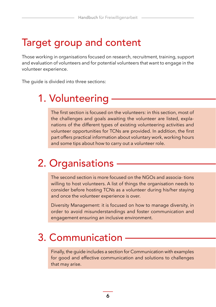### <span id="page-5-0"></span>Target group and content

Those working in organisations focused on research, recruitment, training, support and evaluation of volunteers and for potential volunteers that want to engage in the volunteer experience.

The guide is divided into three sections:

### [1. V](#page-6-0)olunteering

The first section is focused on the volunteers: in this section, most of the challenges and goals awaiting the volunteer are listed, explanations of the different types of existing volunteering activities and volunteer opportunities for TCNs are provided. In addition, the first part offers practical information about voluntary work, working hours and some tips about how to carry out a volunteer role.

### [2. O](#page-18-0)rganisations

The second section is more focused on the NGOs and associa- tions willing to host volunteers. A list of things the organisation needs to consider before hosting TCNs as a volunteer during his/her staying and once the volunteer experience is over.

Diversity Management: it is focused on how to manage diversity, in order to avoid misunderstandings and foster communication and engagement ensuring an inclusive environment.

### [3. C](#page-24-0)ommunication

Finally, the guide includes a section for Communication with examples for good and effective communication and solutions to challenges that may arise.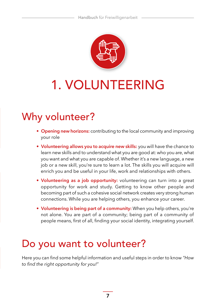

# <span id="page-6-0"></span>1. VOLUNTEERING

### Why volunteer?

- **Opening new horizons:** contributing to the local community and improving your role
- **Volunteering allows you to acquire new skills:** you will have the chance to learn new skills and to understand what you are good at: who you are, what you want and what you are capable of. Whether it's a new language, a new job or a new skill, you're sure to learn a lot. The skills you will acquire will enrich you and be useful in your life, work and relationships with others.
- **Volunteering as a job opportunity:** volunteering can turn into a great opportunity for work and study. Getting to know other people and becoming part of such a cohesive social network creates very strong human connections. While you are helping others, you enhance your career.
- **Volunteering is being part of a community:** When you help others, you're not alone. You are part of a community; being part of a community of people means, first of all, finding your social identity, integrating yourself.

### Do you want to volunteer?

Here you can find some helpful information and useful steps in order to know *"How to find the right opportunity for you!"*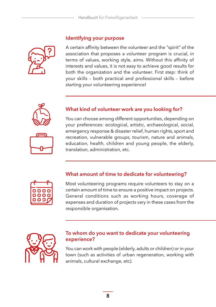<span id="page-7-0"></span>**Identifying your purpose**

A certain affinity between the volunteer and the "spirit" of the association that proposes a volunteer program is crucial, in terms of values, working style, aims. Without this affinity of interests and values, it is not easy to achieve good results for both the organization and the volunteer. First step: think of your skills – both practical and professional skills – before starting your volunteering experience!



#### **What kind of volunteer work are you looking for?**

You can choose among different opportunities, depending on your preferences: ecological, artistic, archaeological, social, emergency response & disaster relief, human rights, sport and recreation, vulnerable groups, tourism, nature and animals, education, health, children and young people, the elderly, translation, administration, etc.



#### **What amount of time to dedicate for volunteering?**

Most volunteering programs require volunteers to stay on a certain amount of time to ensure a positive impact on projects. General conditions such as working hours, coverage of expenses and duration of projects vary in these cases from the responsible organisation.



#### **To whom do you want to dedicate your volunteering experience?**

You can work with people (elderly, adults or children) or in your town (such as activities of urban regeneration, working with animals, cultural exchange, etc).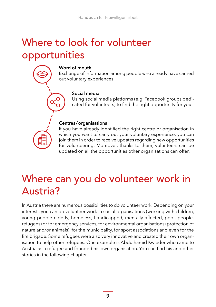### <span id="page-8-0"></span>Where to look for volunteer opportunities



#### **Word of mouth**

Exchange of information among people who already have carried out voluntary experiences

#### **Social media**

Using social media platforms (e.g. Facebook groups dedicated for volunteers) to find the right opportunity for you

#### **Centres /organisations**

If you have already identified the right centre or organisation in which you want to carry out your voluntary experience, you can join them in order to receive updates regarding new opportunities for volunteering. Moreover, thanks to them, volunteers can be updated on all the opportunities other organisations can offer.

### Where can you do volunteer work in Austria?

In Austria there are numerous possibilities to do volunteer work. Depending on your interests you can do volunteer work in social organisations (working with children, young people elderly, homeless, handicapped, mentally affected, poor, people, refugees) or for emergency services, for environmental organisations (protection of nature and/or animals), for the municipality, for sport associations and even for the fire brigade. Some refugees were also very innovative and created their own organisation to help other refugees. One example is Abdulhamid Kwieder who came to Austria as a refugee and founded his own organisation. You can find his and other stories in the following chapter.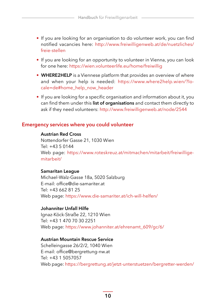- <span id="page-9-0"></span>• If you are looking for an organisation to do volunteer work, you can find notified vacancies here: [http://www.freiwilligenweb.at/de/nuetzliches/](http://www.freiwilligenweb.at/de/nuetzliches/freie-stellen) [freie-stellen](http://www.freiwilligenweb.at/de/nuetzliches/freie-stellen)
- If you are looking for an opportunity to volunteer in Vienna, you can look for one here: https://wien.volunteerlife.eu/home/freiwillig
- **WHERE2HELP** is a Viennese platform that provides an overview of where and when your help is needed: [https://www.where2help.wien/?lo](https://www.where2help.wien/?locale=de#home_help_now_header)[cale=de#home\\_help\\_now\\_header](https://www.where2help.wien/?locale=de#home_help_now_header)
- If you are looking for a specific organisation and information about it, you can find them under this **list of organisations** and contact them directly to ask if they need volunteers: http://www.freiwilligenweb.at/node/2544

#### **Emergency services where you could volunteer**

#### **Austrian Red Cross**

Nottendorfer Gasse 21, 1030 Wien  $Te^+ + 4350144$ Web page: [https://www.roteskreuz.at/mitmachen/mitarbeit/freiwillige](https://www.roteskreuz.at/mitmachen/mitarbeit/freiwillige--mitarbeit/)[mitarbeit/](https://www.roteskreuz.at/mitmachen/mitarbeit/freiwillige--mitarbeit/)

#### **Samaritan League**

Michael-Walz-Gasse 18a, 5020 Salzburg E-mail: office@die-samariter.at Tel: +43 662 81 25 Web page: https://www.die-samariter.at/ich-will-helfen/

#### **Johanniter Unfall Hilfe**

Ignaz-Köck-Straße 22, 1210 Wien Tel: +43 1 470 70 30 2251 Web page: https://www.johanniter.at/ehrenamt\_609/gc/6/

#### **Austrian Mountain Rescue Service**

Schelleingasse 26/2/2, 1040 Wien E-mail: office@bergrettung-nw.at Tel: +43 1 5057057 Web page: https://bergrettung.at/jetzt-unterstuetzen/bergretter-werden/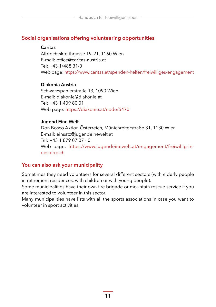#### <span id="page-10-0"></span>**Social organisations offering volunteering opportunities**

#### **Caritas**

Albrechtskreithgasse 19–21, 1160 Wien E-mail: office@caritas-austria.at  $Tel: +431/488331-0$ Web page: https://www.caritas.at/spenden-helfen/freiwilliges-engagement

#### **Diakonia Austria**

Schwarzspanierstraße 13, 1090 Wien E-mail: diakonie@diakonie.at Tel: +43 1 409 80 01 Web page: https://diakonie.at/node/5470

#### **Jugend Eine Welt**

Don Bosco Aktion Österreich, Münichreiterstraße 31, 1130 Wien E-mail: einsatz@jugendeinewelt.at  $Tel: +4318790707 - 0$ Web page: [https://www.jugendeinewelt.at/engagement/freiwillig-in](https://www.jugendeinewelt.at/engagement/freiwillig-in--oesterreich)[oesterreich](https://www.jugendeinewelt.at/engagement/freiwillig-in--oesterreich)

#### **You can also ask your municipality**

Sometimes they need volunteers for several different sectors (with elderly people in retirement residences, with children or with young people).

Some municipalities have their own fire brigade or mountain rescue service if you are interested to volunteer in this sector.

Many municipalities have lists with all the sports associations in case you want to volunteer in sport activities.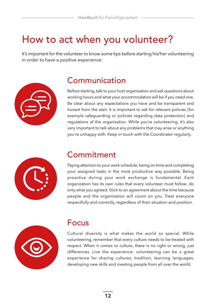### <span id="page-11-0"></span>How to act when you volunteer?

It's important for the volunteer to know some tips before starting his/her volunteering in order to have a positive experience:



### **Communication**

Before starting, talk to your host organisation and ask questions about working hours and what your accommodation will be if you need one. Be clear about any expectations you have and be transparent and honest from the start. It is important to ask for relevant policies (for example safeguarding or policies regarding data protection) and regulations of the organization. While you're volunteering, it's also very important to talk about any problems that may arise or anything you're unhappy with. Keep in touch with the Coordinator regularly.



### **Commitment**

Paying attention to your work schedule, being on time and completing your assigned tasks in the most productive way possible. Being proactive during your work exchange is fundamental. Each organization has its own rules that every volunteer must follow: do only what you agreed. Stick to an agreement about the time because people and the organization will count on you. Treat everyone respectfully and correctly, regardless of their situation and position.



### Focus

Cultural diversity is what makes the world so special. While volunteering, remember that every culture needs to be treated with respect. When it comes to culture, there is no right or wrong, just differences. Live the experience: volunteering can be a great experience for sharing cultures, tradition, learning languages, developing new skills and meeting people from all over the world.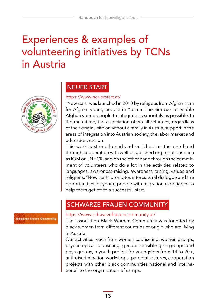### <span id="page-12-0"></span>Experiences & examples of volunteering initiatives by TCNs in Austria



#### NEUER START

#### https://www.neuerstart.at/

"New start" was launched in 2010 by refugees from Afghanistan for Afghan young people in Austria. The aim was to enable Afghan young people to integrate as smoothly as possible. In the meantime, the association offers all refugees, regardless of their origin, with or without a family in Austria, support in the areas of integration into Austrian society, the labor market and education, etc. on.

This work is strengthened and enriched on the one hand through cooperation with well-established organizations such as IOM or UNHCR, and on the other hand through the commitment of volunteers who do a lot in the activities related to languages, awareness-raising, awareness raising, values and religions. "New start" promotes intercultural dialogue and the opportunities for young people with migration experience to help them get off to a successful start.

#### SCHWARZE FRAUEN COMMUNITY

#### https://www.schwarzefrauencommunity.at/

The association Black Women Community was founded by black women from different countries of origin who are living in Austria.

Our activities reach from women counseling, women groups, psychological counseling, gender sensible girls groups and boys groups, a youth project for youngsters from 14 to 20+, anti-discrimination workshops, parental lectures, cooperation projects with other black communities national and international, to the organization of camps.

### **Schwarze Frauen Communit**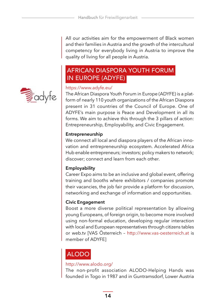All our activities aim for the empowerment of Black women and their families in Austria and the growth of the intercultural competency for everybody living in Austria to improve the quality of living for all people in Austria.

#### AFRICAN DIASPORA YOUTH FORUM IN EUROPE (ADYFE)



#### https://www.adyfe.eu/

The African Diaspora Youth Forum in Europe (ADYFE) is a platform of nearly 110 youth organizations of the African Diaspora present in 31 countries of the Council of Europe. One of ADYFE's main purpose is Peace and Development in all its forms. We aim to achieve this through the 3 pillars of action: Entrepreneurship, Employability, and Civic Engagement.

#### **Entrepreneurship**

We connect all local and diaspora players of the African innovation and entrepreneurship ecosystem. Accelerated Africa Hub enable entrepreneurs; investors; policy makers to network; discover; connect and learn from each other.

#### **Employability**

Career Expo aims to be an inclusive and global event, offering training and booths where exhibitors / companies promote their vacancies, the job fair provide a platform for discussion, networking and exchange of information and opportunities.

#### **Civic Engagement**

Boost a more diverse political representation by allowing young Europeans, of foreign origin, to become more involved using non-formal education, developing regular interaction with local and European representatives through citizens tables or web.tv [VAS Österreich – http://www.vas-oesterreich.at is member of ADYFE]

#### ALODO

#### http://www.alodo.org/

The non-profit association ALODO-Helping Hands was founded in Togo in 1987 and in Guntramsdorf, Lower Austria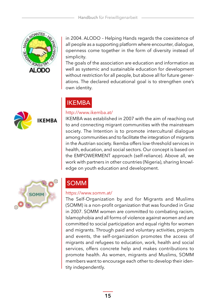

**KEMBA** 

in 2004. ALODO – Helping Hands regards the coexistence of all people as a supporting platform where encounter, dialogue, openness come together in the form of diversity instead of simplicity.

The goals of the association are education and information as well as systemic and sustainable education for development without restriction for all people, but above all for future generations. The declared educational goal is to strengthen one's own identity.

#### IKEMBA

#### http://www.ikemba.at/

IKEMBA was established in 2007 with the aim of reaching out to and connecting migrant communities with the mainstream society. The Intention is to promote intercultural dialogue among communities and to facilitate the integration of migrants in the Austrian society. Ikemba offers low-threshold services in health, education, and social sectors. Our concept is based on the EMPOWERMENT approach (self-reliance). Above all, we work with partners in other countries (Nigeria), sharing knowledge on youth education and development.



### SOMM

#### https://www.somm.at/

The Self-Organization by and for Migrants and Muslims (SOMM) is a non-profit organization that was founded in Graz in 2007. SOMM women are committed to combating racism, Islamophobia and all forms of violence against women and are committed to social participation and equal rights for women and migrants. Through paid and voluntary activities, projects and events, the self-organization promotes the access of migrants and refugees to education, work, health and social services, offers concrete help and makes contributions to promote health. As women, migrants and Muslims, SOMM members want to encourage each other to develop their identity independently.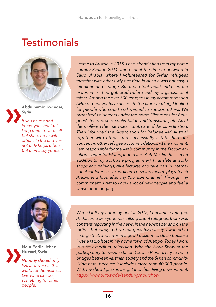### <span id="page-15-0"></span>**Testimonials**



**Abdulhamid Kwieder, Syria**

*If you have good ideas, you shouldn't keep them to yourself, but share them with others. In the end, this not only helps others but ultimately yourself.*





**Nour Eddin Jehad Hussari, Syria**

*Nobody should only live and work in this world for themselves. Everyone can do something for other people.*

*I came to Austria in 2015. I had already fled from my home country Syria in 2011, and I spent the time in between in Saudi Arabia, where I volunteered for Syrian refugees together with others. My first time in Austria was not easy, I felt alone and strange. But then I took heart and used the experience I had gathered before and my organizational talent. Among the over 300 refugees in my accommodation (who did not yet have access to the labor market), I looked for people who could and wanted to support others. We organized volunteers under the name "Refugees for Refugees": hairdressers, cooks, tailors and translators, etc. All of them offered their services, I took care of the coordination. Then I founded the "Association for Refugee Aid Austria" together with others and successfully established our concept in other refugee accommodations. At the moment, I am responsible for the Arab community in the Documentation Center for Islamophobia and Anti-Muslim Racism (in addition to my work as a programmer). I translate at workshops and trainings, give lectures and take part in international conferences. In addition, I develop theatre plays, teach Arabic and look after my YouTube channel. Through my commitment, I get to know a lot of new people and feel a sense of belonging.*

*When I left my home by boat in 2015, I became a refugee. At that time everyone was talking about refugees: there was constant reporting in the news, in the newspaper and on the radio – but rarely did we refugees have a say. I wanted to change that, and I was in a good position to do so because I was a radio host in my home town of Aleppo. Today I work in a new medium, television. With the Nour Show at the participatory television station Okto in Vienna, I try to build bridges between Austrian society and the Syrian community living here, because it includes more than 40,000 people. With my show I give an insight into their living environment. https://www.okto.tv/de/sendung/nourshow*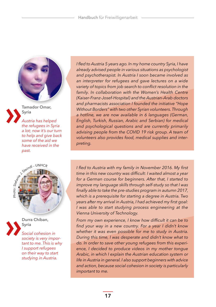

**Tamador Omar, Syria**

*Austria has helped the refugees in Syria a lot; now it's our turn to help and give back some of the aid we have received in the past.*





**Durra Chiban, Syria**

*Social cohesion in society is very important to me. This is why I support refugees on their way to start studying in Austria.*

*I fled to Austria 5 years ago. In my home country Syria, I have already advised people in various situations as psychologist and psychotherapist. In Austria I soon became involved as an interpreter for refugees and gave lectures on a wide variety of topics from job search to conflict resolution in the family. In collaboration with the Women's Health Centre (Kaiser-Franz-Josef-Hospital) and the Austrian-Arab doctors and pharmacists association I founded the initiative "Hope Without Borders" with two other Syrian volunteers. Through a hotline, we are now available in 6 languages (German, English, Turkish, Russian, Arabic and Serbian) for medical and psychological questions and are currently primarily advising people from the COVID 19 risk group. A team of volunteers also provides food, medical supplies and interpreting.*

*I fled to Austria with my family in November 2016. My first time in this new country was difficult: I waited almost a year for a German course for beginners. After that, I started to improve my language skills through self-study so that I was finally able to take the pre-studies program in autumn 2017, which is a prerequisite for starting a degree in Austria. Two years after my arrival in Austria, I had achieved my first goal: I was able to start studying process engineering at the Vienna University of Technology.*

*From my own experience, I know how difficult it can be to find your way in a new country. For a year I didn't know whether it was even possible for me to study in Austria. During this time, I was desperate and didn't know what to do. In order to save other young refugees from this experience, I decided to produce videos in my mother tongue Arabic, in which I explain the Austrian education system or life in Austria in general. I also support beginners with advice and action, because social cohesion in society is particularly important to me.*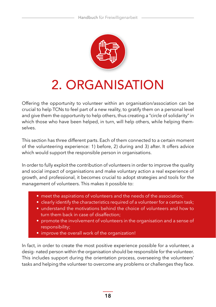

# <span id="page-17-0"></span>2. ORGANISATION

Offering the opportunity to volunteer within an organisation/association can be crucial to help TCNs to feel part of a new reality, to gratify them on a personal level and give them the opportunity to help others, thus creating a "circle of solidarity" in which those who have been helped, in turn, will help others, while helping themselves.

This section has three different parts. Each of them connected to a certain moment of the volunteering experience: 1) before, 2) during and 3) after. It offers advice which would support the responsible person in organisations.

In order to fully exploit the contribution of volunteers in order to improve the quality and social impact of organisations and make voluntary action a real experience of growth, and professional, it becomes crucial to adopt strategies and tools for the management of volunteers. This makes it possible to:

- meet the aspirations of volunteers and the needs of the association;
- clearly identify the characteristics required of a volunteer for a certain task;
- understand the motivations behind the choice of volunteers and how to turn them back in case of disaffection;
- promote the involvement of volunteers in the organisation and a sense of responsibility;
- improve the overall work of the organization!

In fact, in order to create the most positive experience possible for a volunteer, a desig- nated person within the organisation should be responsible for the volunteer. This includes support during the orientation process, overseeing the volunteers' tasks and helping the volunteer to overcome any problems or challenges they face.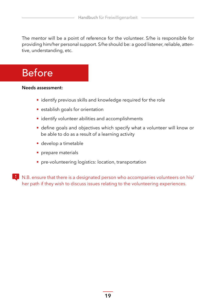<span id="page-18-0"></span>The mentor will be a point of reference for the volunteer. S/he is responsible for providing him/her personal support. S/he should be: a good listener, reliable, attentive, understanding, etc.

### Before

#### **Needs assessment:**

- identify previous skills and knowledge required for the role
- establish goals for orientation
- identify volunteer abilities and accomplishments
- define goals and objectives which specify what a volunteer will know or be able to do as a result of a learning activity
- develop a timetable
- prepare materials
- pre-volunteering logistics: location, transportation

**N.B.** ensure that there is a designated person who accompanies volunteers on his/ her path if they wish to discuss issues relating to the volunteering experiences.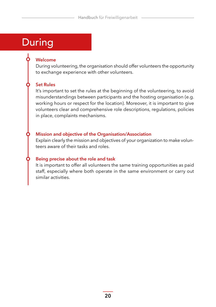### <span id="page-19-0"></span>**During**

#### **Welcome**

During volunteering, the organisation should offer volunteers the opportunity to exchange experience with other volunteers.

#### **Set Rules**

It's important to set the rules at the beginning of the volunteering, to avoid misunderstandings between participants and the hosting organisation (e.g. working hours or respect for the location). Moreover, it is important to give volunteers clear and comprehensive role descriptions, regulations, policies in place, complaints mechanisms.

#### **Mission and objective of the Organisation/Association**

Explain clearly the mission and objectives of your organization to make volunteers aware of their tasks and roles.

#### **Being precise about the role and task**

It is important to offer all volunteers the same training opportunities as paid staff, especially where both operate in the same environment or carry out similar activities.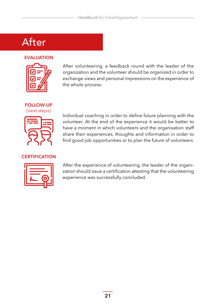### <span id="page-20-0"></span>After

#### **EVALUATION**



After volunteering, a feedback round with the leader of the organization and the volunteer should be organized in order to exchange views and personal impressions on the experience of the whole process.

**FOLLOW-UP** (next steps)



Individual coaching in order to define future planning with the volunteer. At the end of the experience it would be better to have a moment in which volunteers and the organisation staff share their experiences, thoughts and information in order to find good job opportunities or to plan the future of volunteers.

#### **CERTIFICATION**



After the experience of volunteering, the leader of the organization should issue a certification attesting that the volunteering experience was successfully concluded.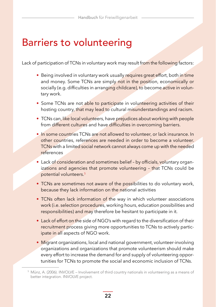### <span id="page-21-0"></span>Barriers to volunteering

Lack of participation of TCNs in voluntary work may result from the following factors:

- Being involved in voluntary work usually requires great effort, both in time and money. Some TCNs are simply not in the position, economically or socially (e.g. difficulties in arranging childcare), to become active in voluntary work.
- Some TCNs are not able to participate in volunteering activities of their hosting country, that may lead to cultural misunderstandings and racism.
- TCNs can, like local volunteers, have prejudices about working with people from different cultures and have difficulties in overcoming barriers.
- In some countries TCNs are not allowed to volunteer, or lack insurance. In other countries, references are needed in order to become a volunteer. TCNs with a limited social network cannot always come up with the needed references
- Lack of consideration and sometimes belief by officials, voluntary organizations and agencies that promote volunteering - that TCNs could be potential volunteers. 5
- TCNs are sometimes not aware of the possibilities to do voluntary work, because they lack information on the national activities
- TCNs often lack information of the way in which volunteer associations work (i.e. selection procedures, working hours, education possibilities and responsibilities) and may therefore be hesitant to participate in it.
- Lack of effort on the side of NGO's with regard to the diversification of their recruitment process giving more opportunities to TCNs to actively participate in all aspects of NGO work.
- Migrant organizations, local and national government, volunteer-involving organizations and organizations that promote volunteerism should make every effort to increase the demand for and supply of volunteering opportunities for TCNs to promote the social and economic inclusion of TCNs.

<sup>5</sup> Münz, A. (2006). INVOLVE – Involvement of third country nationals in volunteering as a means of better integration. INVOLVE project.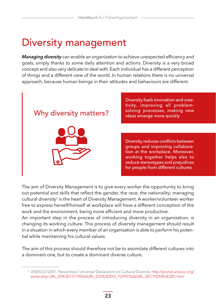### <span id="page-22-0"></span>Diversity management

*Managing diversity* can enable an organization to achieve unexpected efficiency and goals, simply thanks to some daily attention and actions. Diversity is a very broad concept and also very delicate to deal with. Each individual has a different perception of things and a different view of the world. In human relations there is no universal approach, because human beings in their attitudes and behaviours are different.



Diversity fuels innovation and creativity, improving all problem-Why diversity matters? solving processes, making new

> Diversity reduces conflicts between groups and improving collaboration at the workplace. Moreover, working together helps also to reduce stereotypes and prejudices for people from different cultures

The aim of Diversity Management is to give every worker the opportunity to bring out potential and skills that reflect the gender, the race, the nationality; managing cultural diversity<sup>6</sup> is the heart of Diversity Management. A worker/volunteer worker free to express herself/himself at workplace will have a different conception of the work and the environment, being more efficient and more productive.

An important step in the process of introducing diversity in an organisation, is changing its working culture. This process of diversity management should result in a situation in which every member of an organisation is able to perform his potential while maintaining his cultural values.

The aim of this process should therefore not be to assimilate different cultures into a dominant one, but to create a dominant diverse culture.

<sup>6</sup> UNESCO (2001, November). Universal Declaration on Cultural Diversity. [http://portal.unesco.org/](http://portal.unesco.org/en/ev.php-URL_ID%3D13179%26URL_DO%3DDO_TOPIC%26URL_SECTION%3D201.html) [en/ev.php-URL\\_ID%3D13179%26URL\\_DO%3DDO\\_TOPIC%26URL\\_SECTION%3D201.html](http://portal.unesco.org/en/ev.php-URL_ID%3D13179%26URL_DO%3DDO_TOPIC%26URL_SECTION%3D201.html)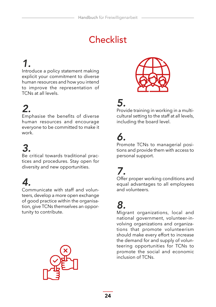### **Checklist**

### <span id="page-23-0"></span>*1.*

Introduce a policy statement making explicit your commitment to diverse human resources and how you intend to improve the representation of TCNs at all levels.

### *2.*

Emphasise the benefits of diverse human resources and encourage everyone to be committed to make it work.

## *3.*

Be critical towards traditional practices and procedures. Stay open for diversity and new opportunities.

### *4.*

Communicate with staff and volunteers, develop a more open exchange of good practice within the organisation, give TCNs themselves an opportunity to contribute.





### *5.*

Provide training in working in a multicultural setting to the staff at all levels, including the board level.

## *6.*

Promote TCNs to managerial positions and provide them with access to personal support.

### *7.*

Offer proper working conditions and equal advantages to all employees and volunteers.

### *8.*

Migrant organizations, local and national government, volunteer-involving organizations and organizations that promote volunteerism should make every effort to increase the demand for and supply of volunteering opportunities for TCNs to promote the social and economic inclusion of TCNs.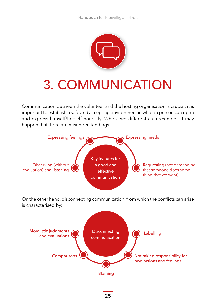

# <span id="page-24-0"></span>3. COMMUNICATION

Communication between the volunteer and the hosting organisation is crucial: it is important to establish a safe and accepting environment in which a person can open and express himself/herself honestly. When two different cultures meet, it may happen that there are misunderstandings.



**25**

Blaming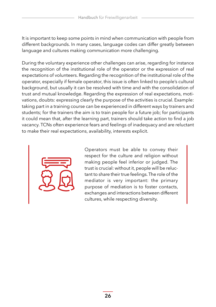It is important to keep some points in mind when communication with people from different backgrounds. In many cases, language codes can differ greatly between language and cultures making communication more challenging.

During the voluntary experience other challenges can arise, regarding for instance the recognition of the institutional role of the operator or the expression of real expectations of volunteers. Regarding the recognition of the institutional role of the operator, especially if female operator, this issue is often linked to people's cultural background, but usually it can be resolved with time and with the consolidation of trust and mutual knowledge. Regarding the expression of real expectations, motivations, doubts: expressing clearly the purpose of the activities is crucial. Example: taking part in a training course can be experienced in different ways by trainers and students; for the trainers the aim is to train people for a future job; for participants it could mean that, after the learning part, trainers should take action to find a job vacancy. TCNs often experience fears and feelings of inadequacy and are reluctant to make their real expectations, availability, interests explicit.



Operators must be able to convey their respect for the culture and religion without making people feel inferior or judged. The trust is crucial: without it, people will be reluctant to share their true feelings. The role of the mediator is very important: the primary purpose of mediation is to foster contacts, exchanges and interactions between different cultures, while respecting diversity.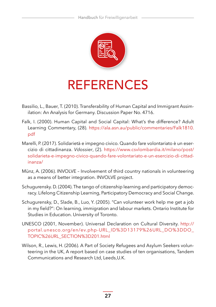<span id="page-26-0"></span>

# REFERENCES

- Bassilio, L., Bauer, T. (2010). Transferability of Human Capital and Immigrant Assimilation: An Analysis for Germany. Discussion Paper No. 4716.
- Falk, I. (2000). Human Capital and Social Capital: What's the difference? Adult Learning Commentary, (28). [https://ala.asn.au/public/commentaries/Falk1810.](https://ala.asn.au/public/commentaries/Falk1810.pdf) [pdf](https://ala.asn.au/public/commentaries/Falk1810.pdf)
- Marelli, P. (2017). Solidarietà e impegno civico. Quando fare volontariato è un esercizio di cittadinanza. *Vdossier*, (2). [https://www.csvlombardia.it/milano/post/](https://www.csvlombardia.it/milano/post/solidarieta-e-impegno-civico-quando-fare-volontariato-e-un-esercizio-di-cittadinanza/) [solidarieta-e-impegno-civico-quando-fare-volontariato-e-un-esercizio-di-cittad](https://www.csvlombardia.it/milano/post/solidarieta-e-impegno-civico-quando-fare-volontariato-e-un-esercizio-di-cittadinanza/)[inanza/](https://www.csvlombardia.it/milano/post/solidarieta-e-impegno-civico-quando-fare-volontariato-e-un-esercizio-di-cittadinanza/)
- Münz, A. (2006). INVOLVE Involvement of third country nationals in volunteering as a means of better integration. INVOLVE project.
- Schugurensky. D. (2004). The tango of citizenship learning and participatory democracy. Lifelong Citizenship Learning, Participatory Democracy and Social Change.
- Schugurensky, D., Slade, B., Luo, Y. (2005). "Can volunteer work help me get a job in my field?": On learning, immigration and labour markets. Ontario Institute for Studies in Education. University of Toronto.
- UNESCO (2001, November). Universal Declaration on Cultural Diversity. [http://](http://portal.unesco.org/en/ev.php-URL_ID%3D13179%26URL_DO%3DDO_TOPIC%26URL_SECTION%3D201.html) [portal.unesco.org/en/ev.php-URL\\_ID%3D13179%26URL\\_DO%3DDO\\_](http://portal.unesco.org/en/ev.php-URL_ID%3D13179%26URL_DO%3DDO_TOPIC%26URL_SECTION%3D201.html) [TOPIC%26URL\\_SECTION%3D201.html](http://portal.unesco.org/en/ev.php-URL_ID%3D13179%26URL_DO%3DDO_TOPIC%26URL_SECTION%3D201.html)
- Wilson, R., Lewis, H. (2006). A Part of Society Refugees and Asylum Seekers volunteering in the UK, A report based on case studies of ten organisations, Tandem Communications and Research Ltd, Leeds,U.K.